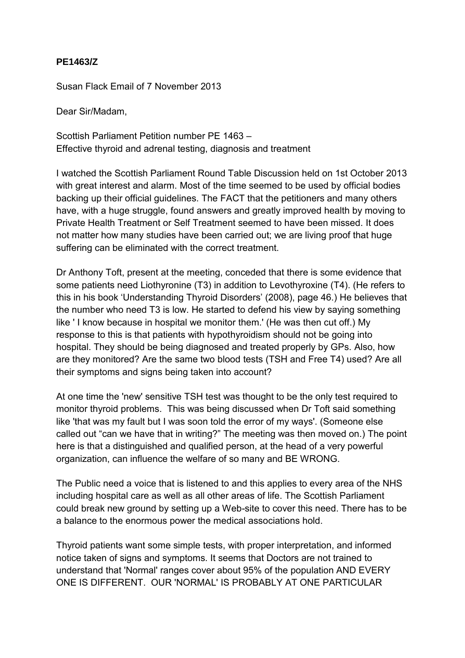## **PE1463/Z**

Susan Flack Email of 7 November 2013

Dear Sir/Madam,

Scottish Parliament Petition number PE 1463 – Effective thyroid and adrenal testing, diagnosis and treatment

I watched the Scottish Parliament Round Table Discussion held on 1st October 2013 with great interest and alarm. Most of the time seemed to be used by official bodies backing up their official guidelines. The FACT that the petitioners and many others have, with a huge struggle, found answers and greatly improved health by moving to Private Health Treatment or Self Treatment seemed to have been missed. It does not matter how many studies have been carried out; we are living proof that huge suffering can be eliminated with the correct treatment.

Dr Anthony Toft, present at the meeting, conceded that there is some evidence that some patients need Liothyronine (T3) in addition to Levothyroxine (T4). (He refers to this in his book 'Understanding Thyroid Disorders' (2008), page 46.) He believes that the number who need T3 is low. He started to defend his view by saying something like ' I know because in hospital we monitor them.' (He was then cut off.) My response to this is that patients with hypothyroidism should not be going into hospital. They should be being diagnosed and treated properly by GPs. Also, how are they monitored? Are the same two blood tests (TSH and Free T4) used? Are all their symptoms and signs being taken into account?

At one time the 'new' sensitive TSH test was thought to be the only test required to monitor thyroid problems. This was being discussed when Dr Toft said something like 'that was my fault but I was soon told the error of my ways'. (Someone else called out "can we have that in writing?" The meeting was then moved on.) The point here is that a distinguished and qualified person, at the head of a very powerful organization, can influence the welfare of so many and BE WRONG.

The Public need a voice that is listened to and this applies to every area of the NHS including hospital care as well as all other areas of life. The Scottish Parliament could break new ground by setting up a Web-site to cover this need. There has to be a balance to the enormous power the medical associations hold.

Thyroid patients want some simple tests, with proper interpretation, and informed notice taken of signs and symptoms. It seems that Doctors are not trained to understand that 'Normal' ranges cover about 95% of the population AND EVERY ONE IS DIFFERENT. OUR 'NORMAL' IS PROBABLY AT ONE PARTICULAR